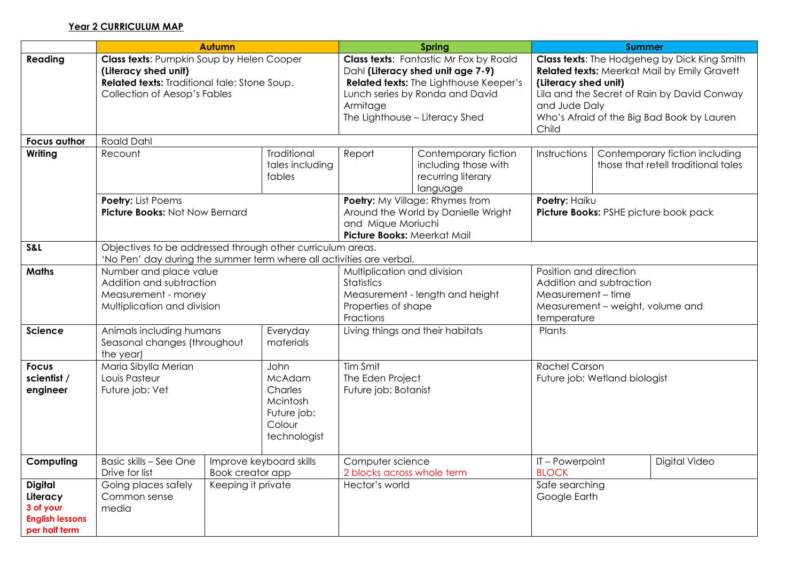## **Year 2 CURRICULUM MAP**

|                                                                                    | <b>Autumn</b>                                                                                                                                     |  |                                                                                |                                                                                                                             | <b>Spring</b>                                                                                                                                                                                            | <b>Summer</b>                                                                                                                                                                                                                                      |                                                                       |  |  |
|------------------------------------------------------------------------------------|---------------------------------------------------------------------------------------------------------------------------------------------------|--|--------------------------------------------------------------------------------|-----------------------------------------------------------------------------------------------------------------------------|----------------------------------------------------------------------------------------------------------------------------------------------------------------------------------------------------------|----------------------------------------------------------------------------------------------------------------------------------------------------------------------------------------------------------------------------------------------------|-----------------------------------------------------------------------|--|--|
| Reading                                                                            | Class texts: Pumpkin Soup by Helen Cooper<br>(Literacy shed unit)<br>Related texts: Traditional tale: Stone Soup.<br>Collection of Aesop's Fables |  |                                                                                | Armitage                                                                                                                    | <b>Class texts:</b> Fantastic Mr Fox by Roald<br>Dahl (Literacy shed unit age 7-9)<br><b>Related texts:</b> The Lighthouse Keeper's<br>Lunch series by Ronda and David<br>The Lighthouse - Literacy Shed | Class texts: The Hodgeheg by Dick King Smith<br><b>Related texts:</b> Meerkat Mail by Emily Gravett<br>(Literacy shed unit)<br>Lila and the Secret of Rain by David Conway<br>and Jude Daly<br>Who's Afraid of the Big Bad Book by Lauren<br>Child |                                                                       |  |  |
| <b>Focus author</b>                                                                | <b>Roald Dahl</b>                                                                                                                                 |  |                                                                                |                                                                                                                             |                                                                                                                                                                                                          |                                                                                                                                                                                                                                                    |                                                                       |  |  |
| Writing                                                                            | Recount                                                                                                                                           |  | Traditional<br>tales including<br>fables                                       | Report                                                                                                                      | Contemporary fiction<br>including those with<br>recurring literary<br>language                                                                                                                           | Instructions                                                                                                                                                                                                                                       | Contemporary fiction including<br>those that retell traditional tales |  |  |
|                                                                                    | Poetry: List Poems<br>Picture Books: Not Now Bernard                                                                                              |  |                                                                                | Poetry: My Village: Rhymes from<br>Around the World by Danielle Wright<br>and Mique Moriuchi<br>Picture Books: Meerkat Mail |                                                                                                                                                                                                          | Poetry: Haiku<br>Picture Books: PSHE picture book pack                                                                                                                                                                                             |                                                                       |  |  |
| S&L                                                                                | Objectives to be addressed through other curriculum areas.<br>'No Pen' day during the summer term where all activities are verbal.                |  |                                                                                |                                                                                                                             |                                                                                                                                                                                                          |                                                                                                                                                                                                                                                    |                                                                       |  |  |
| <b>Maths</b>                                                                       | Number and place value<br>Addition and subtraction<br>Measurement - money<br>Multiplication and division                                          |  |                                                                                | Multiplication and division<br>Statistics<br>Measurement - length and height<br>Properties of shape<br>Fractions            |                                                                                                                                                                                                          | Position and direction<br>Addition and subtraction<br>Measurement - time<br>Measurement - weight, volume and<br>temperature                                                                                                                        |                                                                       |  |  |
| <b>Science</b>                                                                     | Animals including humans<br>Everyday<br>Seasonal changes (throughout<br>materials<br>the year)                                                    |  | Living things and their habitats                                               |                                                                                                                             | Plants                                                                                                                                                                                                   |                                                                                                                                                                                                                                                    |                                                                       |  |  |
| <b>Focus</b><br>scientist /<br>engineer                                            | Maria Sibylla Merian<br>Louis Pasteur<br>Future job: Vet                                                                                          |  | John<br>McAdam<br>Charles<br>Mcintosh<br>Future job:<br>Colour<br>technologist | Tim Smit<br>The Eden Project<br>Future job: Botanist                                                                        |                                                                                                                                                                                                          | <b>Rachel Carson</b><br>Future job: Wetland biologist                                                                                                                                                                                              |                                                                       |  |  |
| Computing                                                                          | Basic skills - See One<br>Improve keyboard skills<br>Book creator app<br>Drive for list                                                           |  | Computer science<br>2 blocks across whole term                                 |                                                                                                                             | IT-Powerpoint<br><b>BLOCK</b>                                                                                                                                                                            | Digital Video                                                                                                                                                                                                                                      |                                                                       |  |  |
| <b>Digital</b><br>Literacy<br>3 of your<br><b>English lessons</b><br>per half term | Going places safely<br>Keeping it private<br>Common sense<br>media                                                                                |  | Hector's world                                                                 |                                                                                                                             | Safe searching<br>Google Earth                                                                                                                                                                           |                                                                                                                                                                                                                                                    |                                                                       |  |  |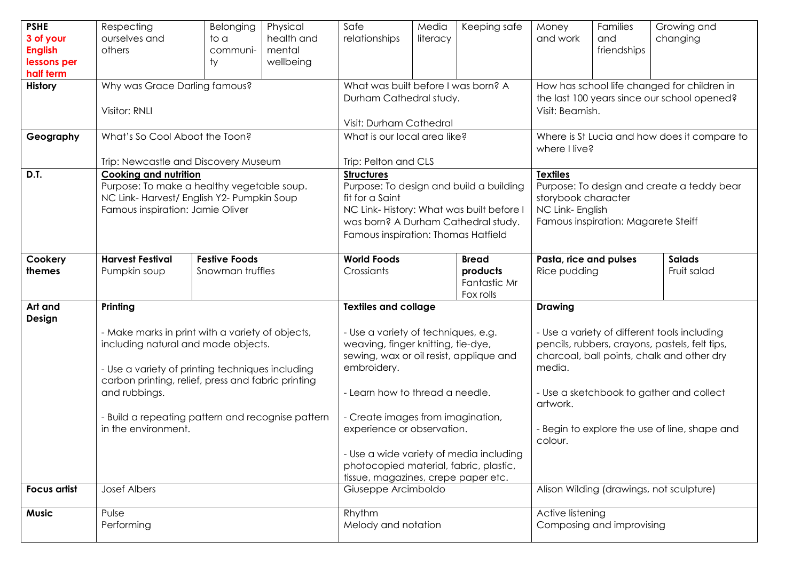| <b>PSHE</b><br>3 of your                   | Respecting<br>ourselves and                                                                                                                                                                                                                                                                                | Belonging<br>to a                                              | Physical<br>health and | Safe<br>relationships                                                                                                                                                                                                                                                    | Media<br>literacy                                                                                             | Keeping safe                                          | Money<br>and work                                                                                                                                                                                                                                                                            | Families<br>and | Growing and<br>changing |
|--------------------------------------------|------------------------------------------------------------------------------------------------------------------------------------------------------------------------------------------------------------------------------------------------------------------------------------------------------------|----------------------------------------------------------------|------------------------|--------------------------------------------------------------------------------------------------------------------------------------------------------------------------------------------------------------------------------------------------------------------------|---------------------------------------------------------------------------------------------------------------|-------------------------------------------------------|----------------------------------------------------------------------------------------------------------------------------------------------------------------------------------------------------------------------------------------------------------------------------------------------|-----------------|-------------------------|
| <b>English</b><br>lessons per<br>half term | others                                                                                                                                                                                                                                                                                                     | communi-<br>ty                                                 | mental<br>wellbeing    |                                                                                                                                                                                                                                                                          |                                                                                                               |                                                       |                                                                                                                                                                                                                                                                                              | friendships     |                         |
| History                                    | Why was Grace Darling famous?<br>Visitor: RNLI                                                                                                                                                                                                                                                             | What was built before I was born? A<br>Durham Cathedral study. |                        |                                                                                                                                                                                                                                                                          | How has school life changed for children in<br>the last 100 years since our school opened?<br>Visit: Beamish. |                                                       |                                                                                                                                                                                                                                                                                              |                 |                         |
| Geography                                  | What's So Cool Aboot the Toon?                                                                                                                                                                                                                                                                             | Visit: Durham Cathedral<br>What is our local area like?        |                        |                                                                                                                                                                                                                                                                          | Where is St Lucia and how does it compare to<br>where I live?                                                 |                                                       |                                                                                                                                                                                                                                                                                              |                 |                         |
| D.T.                                       | Trip: Newcastle and Discovery Museum<br><b>Cooking and nutrition</b><br>Purpose: To make a healthy vegetable soup.<br>NC Link-Harvest/ English Y2- Pumpkin Soup<br>Famous inspiration: Jamie Oliver                                                                                                        |                                                                |                        | Trip: Pelton and CLS<br><b>Structures</b><br>Purpose: To design and build a building<br>fit for a Saint<br>NC Link-History: What was built before I<br>was born? A Durham Cathedral study.<br>Famous inspiration: Thomas Hatfield                                        |                                                                                                               |                                                       | <b>Textiles</b><br>Purpose: To design and create a teddy bear<br>storybook character<br>NC Link- English<br>Famous inspiration: Magarete Steiff                                                                                                                                              |                 |                         |
| Cookery<br>themes                          | <b>Harvest Festival</b><br>Pumpkin soup                                                                                                                                                                                                                                                                    | <b>Festive Foods</b><br>Snowman truffles                       |                        | <b>World Foods</b><br>Crossiants                                                                                                                                                                                                                                         |                                                                                                               | <b>Bread</b><br>products<br>Fantastic Mr<br>Fox rolls | Pasta, rice and pulses<br><b>Salads</b><br>Rice pudding<br>Fruit salad                                                                                                                                                                                                                       |                 |                         |
| Art and<br>Design                          | Printing<br>- Make marks in print with a variety of objects,<br>including natural and made objects.<br>- Use a variety of printing techniques including<br>carbon printing, relief, press and fabric printing<br>and rubbings.<br>- Build a repeating pattern and recognise pattern<br>in the environment. |                                                                |                        | <b>Textiles and collage</b><br>- Use a variety of techniques, e.g.<br>weaving, finger knitting, tie-dye,<br>sewing, wax or oil resist, applique and<br>embroidery.<br>- Learn how to thread a needle.<br>- Create images from imagination,<br>experience or observation. |                                                                                                               |                                                       | <b>Drawing</b><br>- Use a variety of different tools including<br>pencils, rubbers, crayons, pastels, felt tips,<br>charcoal, ball points, chalk and other dry<br>media.<br>- Use a sketchbook to gather and collect<br>artwork.<br>- Begin to explore the use of line, shape and<br>colour. |                 |                         |
| <b>Focus artist</b>                        | <b>Josef Albers</b>                                                                                                                                                                                                                                                                                        |                                                                |                        | - Use a wide variety of media including<br>photocopied material, fabric, plastic,<br>tissue, magazines, crepe paper etc.<br>Giuseppe Arcimboldo                                                                                                                          |                                                                                                               |                                                       | Alison Wilding (drawings, not sculpture)                                                                                                                                                                                                                                                     |                 |                         |
|                                            |                                                                                                                                                                                                                                                                                                            |                                                                |                        |                                                                                                                                                                                                                                                                          |                                                                                                               |                                                       |                                                                                                                                                                                                                                                                                              |                 |                         |
| <b>Music</b>                               | Pulse<br>Performing                                                                                                                                                                                                                                                                                        |                                                                |                        | Rhythm<br>Melody and notation                                                                                                                                                                                                                                            |                                                                                                               |                                                       | Active listening<br>Composing and improvising                                                                                                                                                                                                                                                |                 |                         |